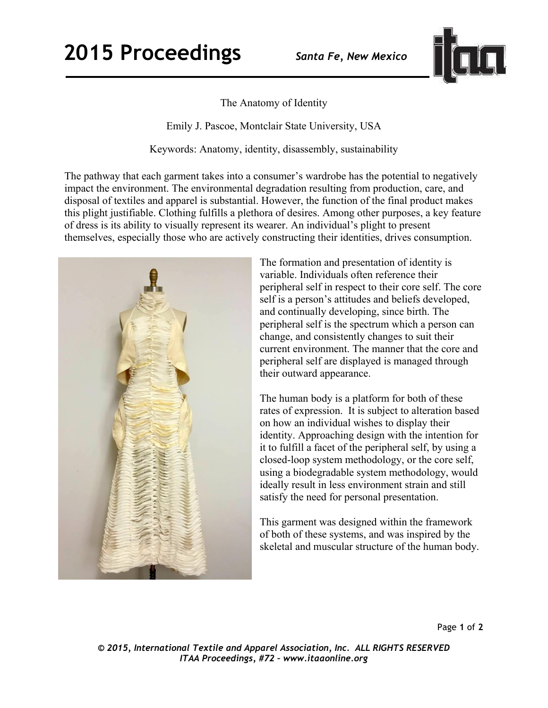## **2015 Proceedings** *Santa Fe, New Mexico*



## The Anatomy of Identity

Emily J. Pascoe, Montclair State University, USA

Keywords: Anatomy, identity, disassembly, sustainability

The pathway that each garment takes into a consumer's wardrobe has the potential to negatively impact the environment. The environmental degradation resulting from production, care, and disposal of textiles and apparel is substantial. However, the function of the final product makes this plight justifiable. Clothing fulfills a plethora of desires. Among other purposes, a key feature of dress is its ability to visually represent its wearer. An individual's plight to present themselves, especially those who are actively constructing their identities, drives consumption.



The formation and presentation of identity is variable. Individuals often reference their peripheral self in respect to their core self. The core self is a person's attitudes and beliefs developed, and continually developing, since birth. The peripheral self is the spectrum which a person can change, and consistently changes to suit their current environment. The manner that the core and peripheral self are displayed is managed through their outward appearance.

The human body is a platform for both of these rates of expression. It is subject to alteration based on how an individual wishes to display their identity. Approaching design with the intention for it to fulfill a facet of the peripheral self, by using a closed-loop system methodology, or the core self, using a biodegradable system methodology, would ideally result in less environment strain and still satisfy the need for personal presentation.

This garment was designed within the framework of both of these systems, and was inspired by the skeletal and muscular structure of the human body.

Page **1** of **2** 

*© 2015, International Textile and Apparel Association, Inc. ALL RIGHTS RESERVED ITAA Proceedings, #72 – www.itaaonline.org*